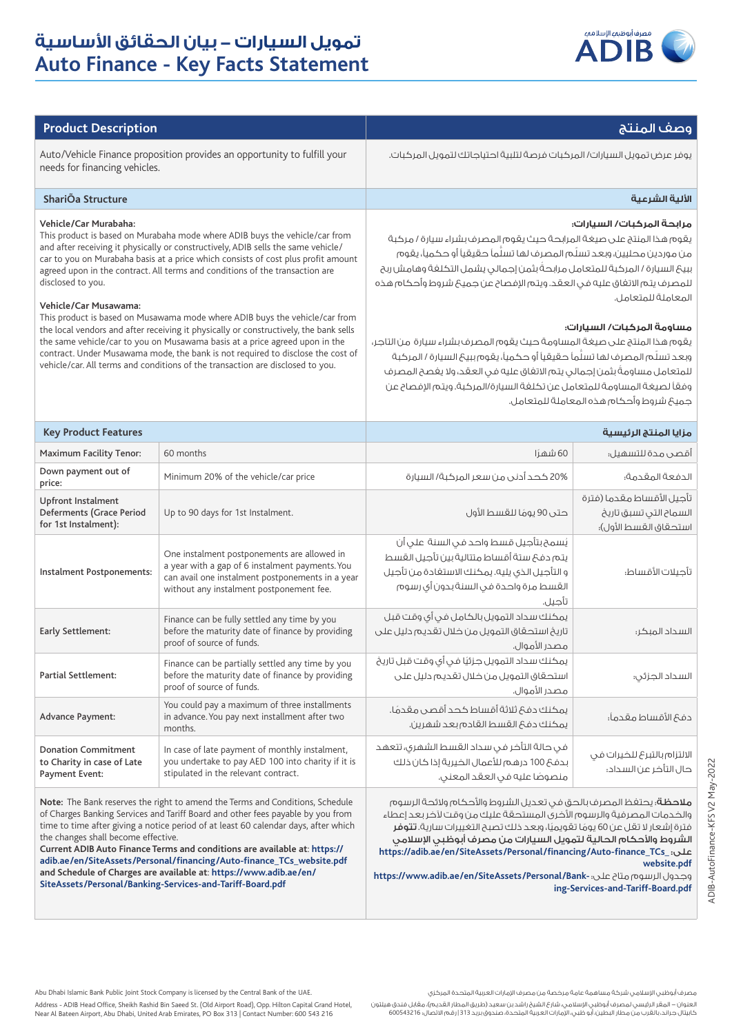

## وصف المنتج **Description Product**

يوفر عرض تمويل السيارات/ المركبات فرصة لتلبية احتياجاتك لتمويل المركبات.

# needs for financing vehicles.

### **األلية الشرعية Structure ShariÕa**

### **Vehicle/Car Murabaha:**

This product is based on Murabaha mode where ADIB buys the vehicle/car from and after receiving it physically or constructively, ADIB sells the same vehicle/ car to you on Murabaha basis at a price which consists of cost plus profit amount agreed upon in the contract. All terms and conditions of the transaction are disclosed to you.

Auto/Vehicle Finance proposition provides an opportunity to fulfill your

### **Vehicle/Car Musawama:**

the changes shall become effective.

This product is based on Musawama mode where ADIB buys the vehicle/car from the local vendors and after receiving it physically or constructively, the bank sells the same vehicle/car to you on Musawama basis at a price agreed upon in the contract. Under Musawama mode, the bank is not required to disclose the cost of vehicle/car. All terms and conditions of the transaction are disclosed to you.

### **مرابحة المركبات/ السيارات:**

يقوم هذا المنتج على صيغة المرابحة حيث يقوم المصرف بشراء سيارة / مركبة من موردين محليين، وبعد تسلّم المصرف لها تسلّماً حقيقياً أو حكمياً، يقوم ً ببيع السيارة / المركبة للمتعامل مرابحة بثمن إجمالي يشمل التكلفة وهامش ربح للمصرف يتم االتفاق عليه في العقد. ويتم اإلفصاح عن جميع شروط وأحكام هذه المعاملة للمتعامل.

### **مساومة المركبات/ السيارات:**

يقوم هذا المنتج على صيغة المساومة حيث يقوم المصرف بشراء سيارة من التاجر، وبعد تسلّم المصرف لها تسلَّماً حقيقياً أو حكمياً، يقوم ببيعَ السيارة / المركبة ً للمتعامل مساومة بثمن إجمالي يتم االتفاق عليه في العقد، وال يفصح المصرف وفقًا لصيغة المساومة للمتعامل عن تكلفة السيارة/المركبة. ويتم اإلفصاح عن جميع شروط وأحكام هذه المعاملة للمتعامل.

| <b>Key Product Features</b>                                                   |                                                                                                                                                                                                | مزايا المنتج الرئيسية                                                                                                                                                                  |                                                                              |  |
|-------------------------------------------------------------------------------|------------------------------------------------------------------------------------------------------------------------------------------------------------------------------------------------|----------------------------------------------------------------------------------------------------------------------------------------------------------------------------------------|------------------------------------------------------------------------------|--|
| <b>Maximum Facility Tenor:</b>                                                | 60 months                                                                                                                                                                                      | 60 شهرًا                                                                                                                                                                               | أقصى مدة للتسهيل؛                                                            |  |
| Down payment out of<br>price:                                                 | Minimum 20% of the vehicle/car price                                                                                                                                                           | 20% كحد أدنى من سعر المركبة/ السيارة                                                                                                                                                   | الدفعة المقدمة؛                                                              |  |
| <b>Upfront Instalment</b><br>Deferments (Grace Period<br>for 1st Instalment): | Up to 90 days for 1st Instalment.                                                                                                                                                              | حتى 90 يومًا للقسط الأول                                                                                                                                                               | تأجيل الأقساط مقدما (فترة<br>السماح التى تسبق تاريخ<br>استحقاق القسط الأول): |  |
| Instalment Postponements:                                                     | One instalment postponements are allowed in<br>a year with a gap of 6 instalment payments. You<br>can avail one instalment postponements in a year<br>without any instalment postponement fee. | يُسمح بتأجيل قسط واحد في السنة على أن<br>يتم دفع ستة أقساط متتالية بين تأجيل القسط<br>و التأجيل الذى يليه. يمكنك الاستغادة من تأجيل<br>القسط مرة واحدة فى السنة بدون أى رسوم<br>تآحىل. | تأحىلات الأقساط:                                                             |  |
| Early Settlement:                                                             | Finance can be fully settled any time by you<br>before the maturity date of finance by providing<br>proof of source of funds.                                                                  | يمكنك سداد التمويل بالكامل فى أى وقت قبل<br>تاريخ استحقاق التمويل من خلال تقديم دليل على<br>مصدر الأموال.                                                                              | السداد المبكر؛                                                               |  |
| <b>Partial Settlement:</b>                                                    | Finance can be partially settled any time by you<br>before the maturity date of finance by providing<br>proof of source of funds.                                                              | يمكنك سداد التمويل جزئيًا في أي وقت قبل تاريخ<br>استحقاق التمويل من خلال تقديم دليل على<br>مصدر الأموال.                                                                               | السداد الجزئى؛                                                               |  |
| <b>Advance Payment:</b>                                                       | You could pay a maximum of three installments<br>in advance. You pay next installment after two<br>months.                                                                                     | يمكنك دفع ثلاثة أقساط كحد أقصى مقدمًا.<br>يمكنك دفع القسط القادم بعد شهرين.                                                                                                            | دف£ الأقساط مقدماً؛                                                          |  |
| <b>Donation Commitment</b><br>to Charity in case of Late<br>Payment Event:    | In case of late payment of monthly instalment,<br>you undertake to pay AED 100 into charity if it is<br>stipulated in the relevant contract.                                                   | فى حالة التأخر فى سداد القسط الشهرى، تتعهد<br>بدفع 100 درهم للأعمال الخيرية إذا كان ذلك<br>منصوصًا عليه في العقد المعنى.                                                               | الالتزام بالتبرع للخيرات فى<br>حال التأخر عن السداد:                         |  |
| Note: The Bank reserves the right to amend the Terms and Conditions, Schedule |                                                                                                                                                                                                | <b>ملاحظة</b> ؛ يحتفظ المصرف بالحق في تعديل الشروط والأحكام ولائحة الرسوم                                                                                                              |                                                                              |  |

of Charges Banking Services and Tariff Board and other fees payable by you from time to time after giving a notice period of at least 60 calendar days, after which م**لاحظة**؛ يحتفظ المصرف بالحق في تعديل الشروط والآحكام ولائحة الرسوم والخدمات المصرفية والرسوم الآخرى المستحقة عليك من وقت لآخر بعد إعطاء فترة إشعار لا تقل عن 60 يومًا تقويميًا، وبعد ذلك تصبح التغييرات سارية. **تتوفر** الشروط والأحكام الحالية لتمويل السيارات من مصرف أبوظبي الإسلامي **https://adib.ae/en/SiteAssets/Personal/financing/Auto-finance\_TCs\_** :على **website.pdf**

**https://www.adib.ae/en/SiteAssets/Personal/Bank-**: على متاح الرسوم وجدول **ing-Services-and-Tariff-Board.pdf**

**Current ADIB Auto Finance Terms and conditions are available at**: **https:// adib.ae/en/SiteAssets/Personal/financing/Auto-finance\_TCs\_website.pdf and Schedule of Charges are available at**: **https://www.adib.ae/en/ SiteAssets/Personal/Banking-Services-and-Tariff-Board.pdf**

Near Al Bateen Airport, Abu Dhabi, United Arab Emirates, PO Box 313 | Contact Number: 600 543 216

مصرف أبوظبي اإلسالمي شركة مساهمة عامة مرخصة من مصرف اإلمارات العربية المتحدة المركزي

العنوان - المقر الرئيسي لمصرف أبوظبي اإلسالمي، شارع الشيخ راشد بن سعيد )طريق المطار القديم(، مقابل فندق هيلتون كابيتال جراند، بالقرب من مطار البطين، أبو ظبي، اإلمارات العربية المتحدة، صندوق بريد 313 | رقم االتصال: 600543216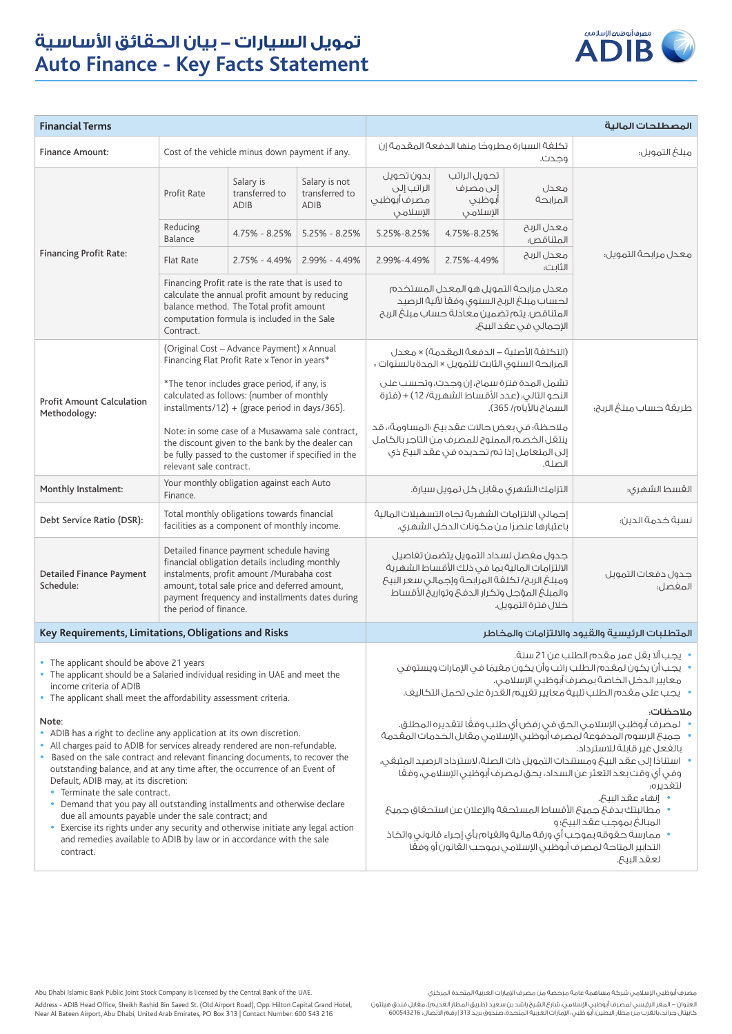

| <b>Financial Terms</b>                                                                                                                                                                                                                                                                                                                                                                                                                                                                                                                                                                                                                                                                                            |                                                                                                                                                                                                                                                                       |                                                                                                                                                                                                                                                                                                                                                                                                                                                                                                                                                                                                                                                |                                                                                                                                                                                                                                        |                                                                                                                      |                                                |                         | المصطلحات المالية    |
|-------------------------------------------------------------------------------------------------------------------------------------------------------------------------------------------------------------------------------------------------------------------------------------------------------------------------------------------------------------------------------------------------------------------------------------------------------------------------------------------------------------------------------------------------------------------------------------------------------------------------------------------------------------------------------------------------------------------|-----------------------------------------------------------------------------------------------------------------------------------------------------------------------------------------------------------------------------------------------------------------------|------------------------------------------------------------------------------------------------------------------------------------------------------------------------------------------------------------------------------------------------------------------------------------------------------------------------------------------------------------------------------------------------------------------------------------------------------------------------------------------------------------------------------------------------------------------------------------------------------------------------------------------------|----------------------------------------------------------------------------------------------------------------------------------------------------------------------------------------------------------------------------------------|----------------------------------------------------------------------------------------------------------------------|------------------------------------------------|-------------------------|----------------------|
| <b>Finance Amount:</b>                                                                                                                                                                                                                                                                                                                                                                                                                                                                                                                                                                                                                                                                                            | Cost of the vehicle minus down payment if any.                                                                                                                                                                                                                        |                                                                                                                                                                                                                                                                                                                                                                                                                                                                                                                                                                                                                                                | تكلفة السيارة مطروحًا منها الدفعة المقدمة إن<br>وجدت.                                                                                                                                                                                  |                                                                                                                      | مبلغ التمويل؛                                  |                         |                      |
|                                                                                                                                                                                                                                                                                                                                                                                                                                                                                                                                                                                                                                                                                                                   | Profit Rate                                                                                                                                                                                                                                                           | Salary is<br>transferred to<br><b>ADIB</b>                                                                                                                                                                                                                                                                                                                                                                                                                                                                                                                                                                                                     | Salary is not<br>transferred to<br><b>ADIB</b>                                                                                                                                                                                         | بدون تحويل<br>الراتب إلى<br>مصرف أبوظبى<br>الإسلامى                                                                  | تحويل الراتب<br>إلى مصرف<br>أبوظبي<br>الإسلامى | معدل<br>المرابحة        |                      |
|                                                                                                                                                                                                                                                                                                                                                                                                                                                                                                                                                                                                                                                                                                                   | Reducing<br>Balance                                                                                                                                                                                                                                                   | 4.75% - 8.25%                                                                                                                                                                                                                                                                                                                                                                                                                                                                                                                                                                                                                                  | $5.25\% - 8.25\%$                                                                                                                                                                                                                      | 5.25%-8.25%                                                                                                          | 4.75%-8.25%                                    | معدل الربح<br>المتناقص: | معدل مرابحة التمويل: |
| <b>Financing Profit Rate:</b>                                                                                                                                                                                                                                                                                                                                                                                                                                                                                                                                                                                                                                                                                     | <b>Flat Rate</b>                                                                                                                                                                                                                                                      | $2.75\% - 4.49\%$                                                                                                                                                                                                                                                                                                                                                                                                                                                                                                                                                                                                                              | 2.99% - 4.49%                                                                                                                                                                                                                          | 2.99%-4.49%                                                                                                          | 2.75%-4.49%                                    | معدل الريح<br>الثابت؛   |                      |
|                                                                                                                                                                                                                                                                                                                                                                                                                                                                                                                                                                                                                                                                                                                   | Financing Profit rate is the rate that is used to<br>calculate the annual profit amount by reducing<br>balance method. The Total profit amount<br>computation formula is included in the Sale<br>Contract.                                                            |                                                                                                                                                                                                                                                                                                                                                                                                                                                                                                                                                                                                                                                | معدل مرابحة التمويل هو المعدل المستخدم<br>لحساب مبلغ الربح السنوى وفقآ لألية الرصيد<br>المتناقص. يتم تضمين معادلة حساب مبلغ الربح<br>الإجمالي في عقد البيح.                                                                            |                                                                                                                      |                                                |                         |                      |
|                                                                                                                                                                                                                                                                                                                                                                                                                                                                                                                                                                                                                                                                                                                   |                                                                                                                                                                                                                                                                       | (Original Cost - Advance Payment) x Annual<br>Financing Flat Profit Rate x Tenor in years*                                                                                                                                                                                                                                                                                                                                                                                                                                                                                                                                                     |                                                                                                                                                                                                                                        | (التكلفة الأصلية – الدفعة المقدمة) × معدل<br>المرابحة السنوى الثابت للتمويل × المدة بالسنوات *                       |                                                |                         |                      |
| <b>Profit Amount Calculation</b><br>Methodology:                                                                                                                                                                                                                                                                                                                                                                                                                                                                                                                                                                                                                                                                  |                                                                                                                                                                                                                                                                       | *The tenor includes grace period, if any, is<br>calculated as follows: (number of monthly<br>installments/12) + (grace period in days/365).                                                                                                                                                                                                                                                                                                                                                                                                                                                                                                    |                                                                                                                                                                                                                                        | تشمل المدة فترة سماح، إن وجدت، وتحسب على<br>النحو التالى؛ (عدد الأقساط الشهرية/ 12) + (فترة<br>السماح بالأيام/ 365). |                                                | طريقة حساب مبلغ الربح؛  |                      |
|                                                                                                                                                                                                                                                                                                                                                                                                                                                                                                                                                                                                                                                                                                                   | Note: in some case of a Musawama sale contract.<br>the discount given to the bank by the dealer can<br>be fully passed to the customer if specified in the<br>relevant sale contract.                                                                                 |                                                                                                                                                                                                                                                                                                                                                                                                                                                                                                                                                                                                                                                | ملاحظة؛ في بعض حالات عقد بي <sup>ع</sup> «المساومة»، قد<br>ينتقل الخصم الممنوح للمصرف من التاجر بالكامل<br>إلى المتعامل إذا تم تحديده في عقد البيخ ذي<br>الصلة.                                                                        |                                                                                                                      |                                                |                         |                      |
| Monthly Instalment:                                                                                                                                                                                                                                                                                                                                                                                                                                                                                                                                                                                                                                                                                               | Your monthly obligation against each Auto<br>Finance.                                                                                                                                                                                                                 |                                                                                                                                                                                                                                                                                                                                                                                                                                                                                                                                                                                                                                                |                                                                                                                                                                                                                                        |                                                                                                                      | التزامك الشهرى مقابل كل تمويل سيارة.           |                         | القسط الشهرى؛        |
| Debt Service Ratio (DSR):                                                                                                                                                                                                                                                                                                                                                                                                                                                                                                                                                                                                                                                                                         | Total monthly obligations towards financial<br>facilities as a component of monthly income.                                                                                                                                                                           |                                                                                                                                                                                                                                                                                                                                                                                                                                                                                                                                                                                                                                                | إجمالى الالتزامات الشهرية تجاه التسهيلات المالية<br>باعتبارها عنصرًا من مكونات الدخل الشهرى.                                                                                                                                           |                                                                                                                      | نسبة خدمة الدين؛                               |                         |                      |
| <b>Detailed Finance Payment</b><br>Schedule:                                                                                                                                                                                                                                                                                                                                                                                                                                                                                                                                                                                                                                                                      | Detailed finance payment schedule having<br>financial obligation details including monthly<br>instalments, profit amount /Murabaha cost<br>amount, total sale price and deferred amount,<br>payment frequency and installments dates during<br>the period of finance. |                                                                                                                                                                                                                                                                                                                                                                                                                                                                                                                                                                                                                                                | جدول مغصل لسداد التمويل يتضمن تغاصيل<br>الالتزامات المالية بما في ذلك الأقساط الشهرية<br>ومبلغ الربح/ تكلفة المرابحة وإجمالى سعر البيع<br>والمبلغ المؤجل وتكرار الدفع وتواريخ الأقساط<br>خلال فترة التمويل.                            |                                                                                                                      | جدول دفعات التمويل<br>المفصل:                  |                         |                      |
| Key Requirements, Limitations, Obligations and Risks                                                                                                                                                                                                                                                                                                                                                                                                                                                                                                                                                                                                                                                              |                                                                                                                                                                                                                                                                       |                                                                                                                                                                                                                                                                                                                                                                                                                                                                                                                                                                                                                                                | المتطلبات الرئيسية والقيود والالتزامات والمخاطر                                                                                                                                                                                        |                                                                                                                      |                                                |                         |                      |
| The applicant should be above 21 years<br>• The applicant should be a Salaried individual residing in UAE and meet the<br>income criteria of ADIB<br>• The applicant shall meet the affordability assessment criteria.                                                                                                                                                                                                                                                                                                                                                                                                                                                                                            |                                                                                                                                                                                                                                                                       |                                                                                                                                                                                                                                                                                                                                                                                                                                                                                                                                                                                                                                                | • يجب ألا يقل عمر مقدم الطلب عن 21 سنة.<br>•   يجب أن يكون لمقدم الطلب راتب وأن يكون مقيمًا فى الإمارات ويستوفى<br>معايير الدخل الخاصة بمصرف أبوظبى الإسلامى.<br>•     يجب على مقدم الطلب تلبية معايير تقييم القدرة على تحمل التكاليف. |                                                                                                                      |                                                |                         |                      |
| Note:<br>• ADIB has a right to decline any application at its own discretion.<br>• All charges paid to ADIB for services already rendered are non-refundable.<br>Based on the sale contract and relevant financing documents, to recover the<br>outstanding balance, and at any time after, the occurrence of an Event of<br>Default, ADIB may, at its discretion:<br>• Terminate the sale contract.<br>• Demand that you pay all outstanding installments and otherwise declare<br>due all amounts payable under the sale contract; and<br>• Exercise its rights under any security and otherwise initiate any legal action<br>and remedies available to ADIB by law or in accordance with the sale<br>contract. |                                                                                                                                                                                                                                                                       | ملاحظات:<br>•     لمصرف أبوظبى الإسلامى الحق فى رفض أى طلب وفعًا لتقديره المطلق.<br>•     جميحَ الرسوم المدفوعة لمصرف أبوظبي الإسلامي مقابل الخدمات المقدمة<br>بالفعل غير قابلة للاسترداد.<br>• استنادًا إلى عقد البيحَ ومستندات التمويل ذات الصلة، لاسترداد الرصيد المتبقى،<br>وفي أي وقت بعد التعثر عن السداد، يحق لمصرف أبوظبي الإسلامي، وفعًا<br>لتقدىره:<br>• إنهاء عقد البيح.<br>• مطالبتك بدفعٌ جميعٌ الأقساط المستحقة والإعلان عن استحقاق جميعٌ<br>المبالغ بموجب عقد البيع؛ و<br>•    ممارسة حقوقه بموجب أي ورقة مالية والقيام بأي إجراء قانوني واتخاذ<br>التدابير المتاحة لمصرف أبوظبى الإسلامى بموجب القانون أو وفقًا<br>لعقد البيح. |                                                                                                                                                                                                                                        |                                                                                                                      |                                                |                         |                      |

مصرف أبوظبي اإلسالمي شركة مساهمة عامة مرخصة من مصرف اإلمارات العربية المتحدة المركزي

Abu Dhabi Islamic Bank Public Joint Stock Company is licensed by the Central Bank of the UAE.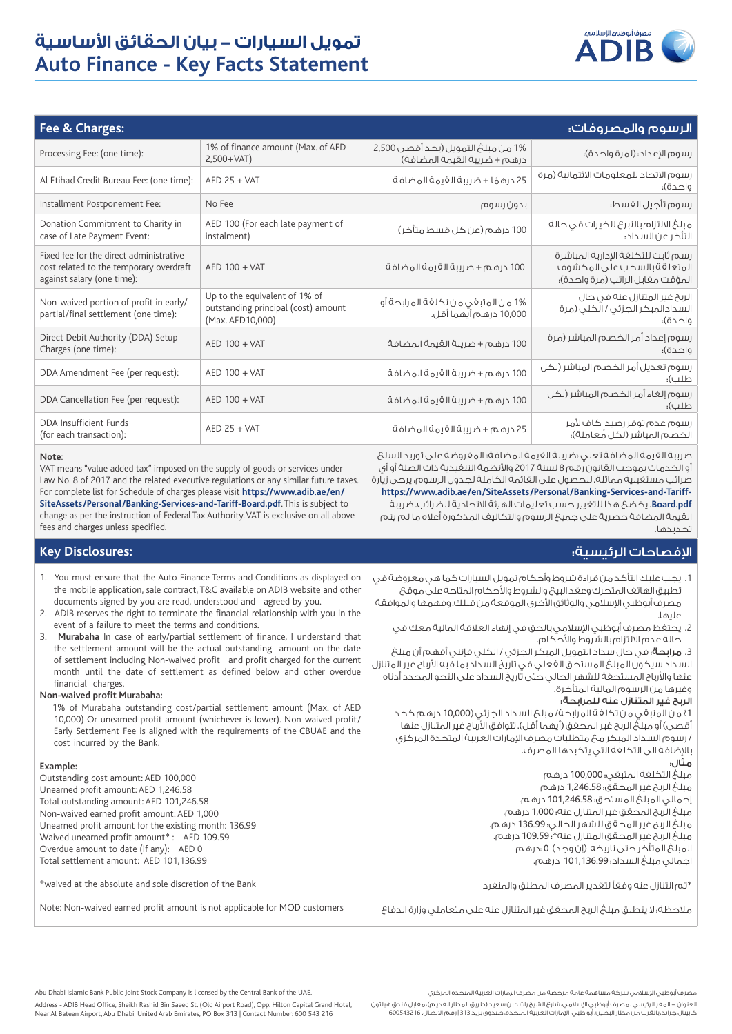

| Fee & Charges:                                                                                                                                                                                                                                                                                                                                                                                                                                                                  |                                                                                                                                                                                                                                                                                                                                                                                                                                                                                                                                                                                                                                                                                                                                                                                                                  | الرسوم والمصروفات:                                                                                                                                                                                                                                                                                                                                                                                                                                                                                                                                                                                                                                                                                                                                                                                                                                                                                                                                   |                                                                                                       |  |
|---------------------------------------------------------------------------------------------------------------------------------------------------------------------------------------------------------------------------------------------------------------------------------------------------------------------------------------------------------------------------------------------------------------------------------------------------------------------------------|------------------------------------------------------------------------------------------------------------------------------------------------------------------------------------------------------------------------------------------------------------------------------------------------------------------------------------------------------------------------------------------------------------------------------------------------------------------------------------------------------------------------------------------------------------------------------------------------------------------------------------------------------------------------------------------------------------------------------------------------------------------------------------------------------------------|------------------------------------------------------------------------------------------------------------------------------------------------------------------------------------------------------------------------------------------------------------------------------------------------------------------------------------------------------------------------------------------------------------------------------------------------------------------------------------------------------------------------------------------------------------------------------------------------------------------------------------------------------------------------------------------------------------------------------------------------------------------------------------------------------------------------------------------------------------------------------------------------------------------------------------------------------|-------------------------------------------------------------------------------------------------------|--|
| Processing Fee: (one time):                                                                                                                                                                                                                                                                                                                                                                                                                                                     | 1% of finance amount (Max. of AED<br>$2,500+VAT)$                                                                                                                                                                                                                                                                                                                                                                                                                                                                                                                                                                                                                                                                                                                                                                | 1% من مبلغ التمويل (بحد أقصى 2,500<br>درهم + ضريبة القيمة المضافة)                                                                                                                                                                                                                                                                                                                                                                                                                                                                                                                                                                                                                                                                                                                                                                                                                                                                                   | رسوم الإعداد؛ (لمرة واحدة)؛                                                                           |  |
| Al Etihad Credit Bureau Fee: (one time):                                                                                                                                                                                                                                                                                                                                                                                                                                        | $AED$ 25 + VAT                                                                                                                                                                                                                                                                                                                                                                                                                                                                                                                                                                                                                                                                                                                                                                                                   | 25 درهمًا + ضريبة القيمة المضافة                                                                                                                                                                                                                                                                                                                                                                                                                                                                                                                                                                                                                                                                                                                                                                                                                                                                                                                     | رسوم الاتحاد للمعلومات الائتمانية (مرة<br>واحدة)؛                                                     |  |
| Installment Postponement Fee:                                                                                                                                                                                                                                                                                                                                                                                                                                                   | No Fee                                                                                                                                                                                                                                                                                                                                                                                                                                                                                                                                                                                                                                                                                                                                                                                                           | بدون رسوم                                                                                                                                                                                                                                                                                                                                                                                                                                                                                                                                                                                                                                                                                                                                                                                                                                                                                                                                            | رسوم تأجيل القسط:                                                                                     |  |
| Donation Commitment to Charity in<br>case of Late Payment Event:                                                                                                                                                                                                                                                                                                                                                                                                                | AED 100 (For each late payment of<br>instalment)                                                                                                                                                                                                                                                                                                                                                                                                                                                                                                                                                                                                                                                                                                                                                                 | 100 درهم (عن كل قسط متأخر)                                                                                                                                                                                                                                                                                                                                                                                                                                                                                                                                                                                                                                                                                                                                                                                                                                                                                                                           | مبلغ الالتزام بالتبرع للخيرات فى حالة<br>التأخر عن السداد؛                                            |  |
| Fixed fee for the direct administrative<br>cost related to the temporary overdraft<br>against salary (one time):                                                                                                                                                                                                                                                                                                                                                                | AED 100 + VAT                                                                                                                                                                                                                                                                                                                                                                                                                                                                                                                                                                                                                                                                                                                                                                                                    | 100 درهم + ضربية القيمة المضافة                                                                                                                                                                                                                                                                                                                                                                                                                                                                                                                                                                                                                                                                                                                                                                                                                                                                                                                      | رسم ثابت للتكلفة الإدارية المباشرة<br>المتعلقة بالسحب على المكشوف<br>المؤقت مقابل الراتب (مرة واحدة)؛ |  |
| Non-waived portion of profit in early/<br>partial/final settlement (one time):                                                                                                                                                                                                                                                                                                                                                                                                  | Up to the equivalent of 1% of<br>outstanding principal (cost) amount<br>(Max. AED 10,000)                                                                                                                                                                                                                                                                                                                                                                                                                                                                                                                                                                                                                                                                                                                        | 1% من المتبقى من تكلفة المرابحة أو<br>10,000 درهـم أيهما أقل.                                                                                                                                                                                                                                                                                                                                                                                                                                                                                                                                                                                                                                                                                                                                                                                                                                                                                        | الربح غير المتنازل عنه فى حال<br>السدادالمبكر الجزئى / الكلى (مرة<br>واحدة)؛                          |  |
| Direct Debit Authority (DDA) Setup<br>Charges (one time):                                                                                                                                                                                                                                                                                                                                                                                                                       | AED 100 + VAT                                                                                                                                                                                                                                                                                                                                                                                                                                                                                                                                                                                                                                                                                                                                                                                                    | 100 درهم + ضريبة القيمة المضافة                                                                                                                                                                                                                                                                                                                                                                                                                                                                                                                                                                                                                                                                                                                                                                                                                                                                                                                      | رسوم إعداد أمر الخصم المباشر (مرة<br>واحدة)؛                                                          |  |
| DDA Amendment Fee (per request):                                                                                                                                                                                                                                                                                                                                                                                                                                                | <b>AED 100 + VAT</b>                                                                                                                                                                                                                                                                                                                                                                                                                                                                                                                                                                                                                                                                                                                                                                                             | 100 درهم + ضريبة القيمة المضافة                                                                                                                                                                                                                                                                                                                                                                                                                                                                                                                                                                                                                                                                                                                                                                                                                                                                                                                      | رسوم تعديل أمر الخصم المباشر (لكل<br>طلب):                                                            |  |
| DDA Cancellation Fee (per request):                                                                                                                                                                                                                                                                                                                                                                                                                                             | AED 100 + VAT                                                                                                                                                                                                                                                                                                                                                                                                                                                                                                                                                                                                                                                                                                                                                                                                    | 100 درهم + ضريبة القيمة المضافة                                                                                                                                                                                                                                                                                                                                                                                                                                                                                                                                                                                                                                                                                                                                                                                                                                                                                                                      | رسوم إلغاء أمر الخصم المباشر (لكل<br>طلب):                                                            |  |
| DDA Insufficient Funds<br>(for each transaction):                                                                                                                                                                                                                                                                                                                                                                                                                               | $AED$ 25 + VAT                                                                                                                                                                                                                                                                                                                                                                                                                                                                                                                                                                                                                                                                                                                                                                                                   | 25 درهم + ضريبة القيمة المضافة                                                                                                                                                                                                                                                                                                                                                                                                                                                                                                                                                                                                                                                                                                                                                                                                                                                                                                                       | رسوم عدم توفر رصيد كاف لأمر<br>الخصم المباشر (لكل معاملة)؛                                            |  |
| Note:<br>VAT means "value added tax" imposed on the supply of goods or services under<br>Law No. 8 of 2017 and the related executive regulations or any similar future taxes.<br>For complete list for Schedule of charges please visit https://www.adib.ae/en/<br>SiteAssets/Personal/Banking-Services-and-Tariff-Board.pdf. This is subject to<br>change as per the instruction of Federal Tax Authority. VAT is exclusive on all above<br>fees and charges unless specified. |                                                                                                                                                                                                                                                                                                                                                                                                                                                                                                                                                                                                                                                                                                                                                                                                                  | ضريبة القيمة المضافة تعنى رضريبة القيمة المضافة، المغروضة على توريد السلك<br>أو الخدمات بموجب القانون رقم 8 لسنة 2017 والأنظمة التنغيذية ذات الصلة أو أى<br>ضرائب مستقبلية مماثلة. للحصول على القائمة الكاملة لجدول الرسوم، يرجى زيارة<br>https://www.adib.ae/en/SiteAssets/Personal/Banking-Services-and-Tariff-<br>Board.pdf. يخضع هذا للتغيير حسب تعليمات الهيئة الاتحادية للضرائب. ضريبة<br>القيمة المضافة حصرية على جميع الرسوم والتكاليف المذكورة أعلاه ما لم يتم<br>تحدىدھا.                                                                                                                                                                                                                                                                                                                                                                                                                                                                  |                                                                                                       |  |
| <b>Key Disclosures:</b>                                                                                                                                                                                                                                                                                                                                                                                                                                                         |                                                                                                                                                                                                                                                                                                                                                                                                                                                                                                                                                                                                                                                                                                                                                                                                                  | الإفصاحات الرئيسية:                                                                                                                                                                                                                                                                                                                                                                                                                                                                                                                                                                                                                                                                                                                                                                                                                                                                                                                                  |                                                                                                       |  |
| documents signed by you are read, understood and agreed by you.<br>event of a failure to meet the terms and conditions.<br>financial charges.<br>Non-waived profit Murabaha:<br>cost incurred by the Bank.                                                                                                                                                                                                                                                                      | 1. You must ensure that the Auto Finance Terms and Conditions as displayed on<br>the mobile application, sale contract, T&C available on ADIB website and other<br>2. ADIB reserves the right to terminate the financial relationship with you in the<br>3. Murabaha In case of early/partial settlement of finance, I understand that<br>the settlement amount will be the actual outstanding amount on the date<br>of settlement including Non-waived profit and profit charged for the current<br>month until the date of settlement as defined below and other overdue<br>1% of Murabaha outstanding cost/partial settlement amount (Max. of AED<br>10,000) Or unearned profit amount (whichever is lower). Non-waived profit/<br>Early Settlement Fee is aligned with the requirements of the CBUAE and the | 1. يجب عليك التأكد من قراءة شروط وأحكام تمويل السيارات كما هي معروضة في<br>تطبيق الهاتف المتحرك وعقد البيع والشروط والأحكام المتاحة على موقع<br>مصرف أبوظبى الإسلامى والوثائق الأخرى الموقعة من قبلك، وفهمها والموافقة<br>علىها.<br>2. يحتفظ مصرف أبوظبي الإسلامي بالحق فى إنهاء العلاقة المالية معك فى<br>حالة عدم الالتزام بالشروط والأحكام.<br>3. مرابحة؛ في حال سداد التمويل المبكر الجزئي / الكلى فإنني أفهم أن مبلغ<br>السداد سيكون المبلغ المستحق الغعلى في تاريخ السداد بما قيه الأرباح غير المتنازل<br>عنها والأرباح المستحقة للشهر الحالى حتى تاريخ السداد على النحو المحدد أدناه<br>وغيرها من الرسوم المالية المتأخرة.<br>الربح غير المتنازل عنه للمرابحة؛<br>1٪ من المتبقى من تكلفة المرابحة/ مبلغ السداد الجزئى (10,000 درهم كحد<br>أقصى) أو مبلغٌ الربح غير المحقق (أيهما أقل). تتوافق الأرباح غير المتنازل عنها<br>/ رسوم السداد المبكر مح متطلبات مصرف الإمارات العربية المتحدة المركزى<br>بالإضافة الى التكلفة التي يتكبدها المصرف. |                                                                                                       |  |
| Example:<br>Outstanding cost amount: AED 100,000<br>Unearned profit amount: AED 1,246.58<br>Total outstanding amount: AED 101,246.58<br>Non-waived earned profit amount: AED 1,000<br>Unearned profit amount for the existing month: 136.99<br>Waived unearned profit amount*: AED 109.59<br>Overdue amount to date (if any): AED 0<br>Total settlement amount: AED 101,136.99                                                                                                  |                                                                                                                                                                                                                                                                                                                                                                                                                                                                                                                                                                                                                                                                                                                                                                                                                  | متال:<br>مبلغ التكلفة المتبقى؛ 100,000 درهم<br>مبلغ الربح غير المحقق؛ 1,246.58 درهم<br>إجمالي المبلغ المستحق؛ 101,246.58 درهم.<br>مبلغ الربح المحقق غير المتنازل عنه؛ 1,000 درهم.<br>مبلغ الربح غير المحقق للشهر الحالى؛ 136.99 درهم.<br>مبلغ الربح غير المحقق المتنازل عنه*: 109.59 درهم.<br>المبلغ المتأخر حتى تاريخه (إن وجد) 0 :درهم<br>اجمالى مبلغ السداد؛ 101,136.99 درهم.                                                                                                                                                                                                                                                                                                                                                                                                                                                                                                                                                                     |                                                                                                       |  |
| *waived at the absolute and sole discretion of the Bank                                                                                                                                                                                                                                                                                                                                                                                                                         |                                                                                                                                                                                                                                                                                                                                                                                                                                                                                                                                                                                                                                                                                                                                                                                                                  | *تم التنازل عنه وفقاً لتقدير المصرف المطلق والمنغرد                                                                                                                                                                                                                                                                                                                                                                                                                                                                                                                                                                                                                                                                                                                                                                                                                                                                                                  |                                                                                                       |  |
| Note: Non-waived earned profit amount is not applicable for MOD customers                                                                                                                                                                                                                                                                                                                                                                                                       |                                                                                                                                                                                                                                                                                                                                                                                                                                                                                                                                                                                                                                                                                                                                                                                                                  | ملاحظة؛ لا ينطبق مبلغ الربح المحقق غير المتنازل عنه على متعاملى وزارة الدفاع                                                                                                                                                                                                                                                                                                                                                                                                                                                                                                                                                                                                                                                                                                                                                                                                                                                                         |                                                                                                       |  |

مصرف أبوظبي اإلسالمي شركة مساهمة عامة مرخصة من مصرف اإلمارات العربية المتحدة المركزي

لعنوان – المقر الرئيسي لمصرف أبوظبي الإسلامي، شارع الشيخ راشد بن سعيد (طريق المطار القديم)، مقابل فندق هيلتون<br>كابيتال جراند، بالقرب من مطار البطين، أبو ظبي، الإمارات العربية المتحدة، صندوق بريد 313 | رقم الاتصال: 60054321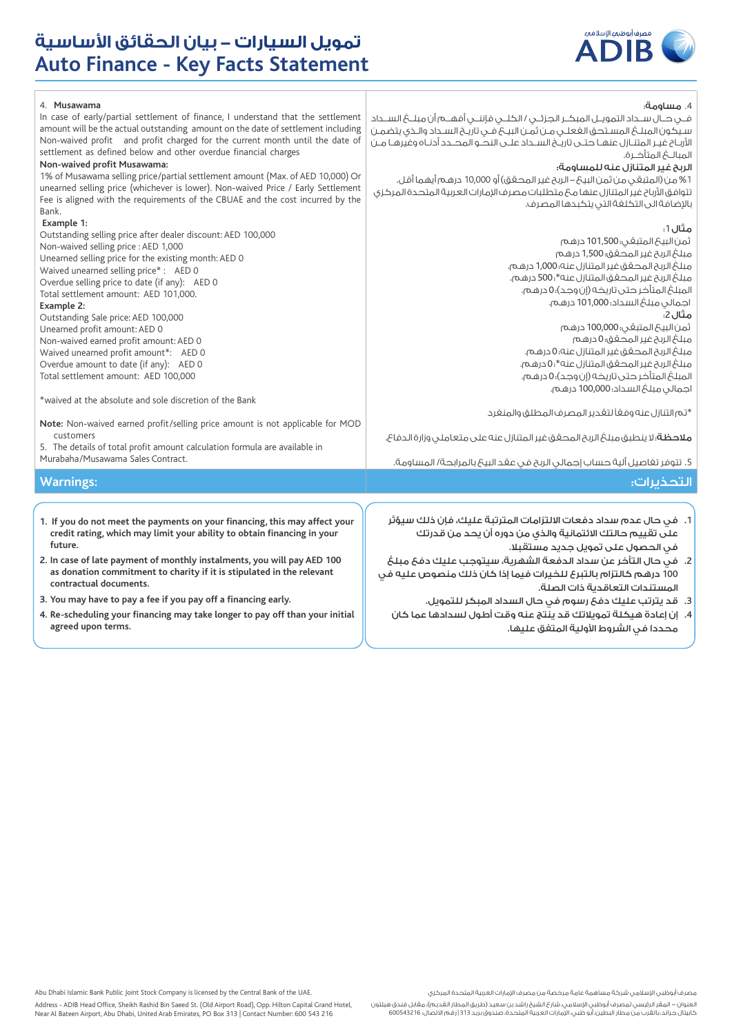

| 4. Musawama<br>In case of early/partial settlement of finance, I understand that the settlement<br>amount will be the actual outstanding amount on the date of settlement including<br>Non-waived profit and profit charged for the current month until the date of<br>settlement as defined below and other overdue financial charges<br>Non-waived profit Musawama:<br>1% of Musawama selling price/partial settlement amount (Max. of AED 10,000) Or<br>unearned selling price (whichever is lower). Non-waived Price / Early Settlement<br>Fee is aligned with the requirements of the CBUAE and the cost incurred by the<br>Bank.                                                                                                                                                                                                               | 4. مساومة:<br>فـــى حــال ســـداد التمويــل المبكــر الجـزئــى / الكلـــى فإننــى أفهـــم أن مبلـــعُ الســـداد<br>سيكون المبلغ المستحق الغعلـى مـن ثمـن البيـع فـى تاريـخ السـداد والـذى يتضمـن<br>الأربـاح غيـر المتنـازل عنهـا حتــى تاريــخ الســداد علــى النحــو المحــدد أدنــاه وغيرهـا مــن<br>الربح غير المتنازل عنه للمساومة؛<br>1% من (المتبقى من ثمن البيحَ – الربح غير المحقق) أو 10,000 درهم أيهما أقل.<br>تتوافق الأرباح غير المتنازل عنها مح متطلبات مصرف الإمارات العربية المتحدة المركزى<br>بالإضافة الى التكلفة التى يتكبدها المصرف.                                                                                                                                                                                                       |
|------------------------------------------------------------------------------------------------------------------------------------------------------------------------------------------------------------------------------------------------------------------------------------------------------------------------------------------------------------------------------------------------------------------------------------------------------------------------------------------------------------------------------------------------------------------------------------------------------------------------------------------------------------------------------------------------------------------------------------------------------------------------------------------------------------------------------------------------------|----------------------------------------------------------------------------------------------------------------------------------------------------------------------------------------------------------------------------------------------------------------------------------------------------------------------------------------------------------------------------------------------------------------------------------------------------------------------------------------------------------------------------------------------------------------------------------------------------------------------------------------------------------------------------------------------------------------------------------------------------------------|
| Example 1:<br>Outstanding selling price after dealer discount: AED 100,000<br>Non-waived selling price : AED 1,000<br>Unearned selling price for the existing month: AED 0<br>Waived unearned selling price*: AED 0<br>Overdue selling price to date (if any): AED 0<br>Total settlement amount: AED 101,000.<br>Example 2:<br>Outstanding Sale price: AED 100,000<br>Unearned profit amount: AED 0<br>Non-waived earned profit amount: AED 0<br>Waived unearned profit amount*: AED 0<br>Overdue amount to date (if any): AED 0<br>Total settlement amount: AED 100,000<br>*waived at the absolute and sole discretion of the Bank<br>Note: Non-waived earned profit/selling price amount is not applicable for MOD<br>customers<br>5. The details of total profit amount calculation formula are available in<br>Murabaha/Musawama Sales Contract. | مثال 1:<br>ثمن البيخ المتبقى: 101,500 درهم<br>مبلغ الربح غير المحقق؛ 1,500 درهم<br>مبلغ الربح المحقق غير المتنازل عنه؛ 1,000 درهم.<br>مبلغ الربح غير المحقق المتنازل عنه*:500 درهم.<br>المبلغ المتأخر حتى تاريخه (إن وجد)؛ 0 درهم.<br>اجمالى مبلغ السداد؛101,000 درهم.<br>مثال 2:<br>ثمن البيحَ المتبقى: 100,000 درهم<br>مبلغ الربح غير المحقق؛ 0 درهم<br>مبلغ الربح المحقق غير المتنازل عنه؛ 0 درهم.<br>مبلغ الربح غير المحقق المتنازل عنه*.0 درهـم.<br>المبلغ المتأخر حتى تاريخه (إن وجد)؛ 0 درهم.<br>اجمالى مبلغ السداد؛ 100,000 درهم.<br>*تم التنازل عنه وفقاً لتقدير المصرف المطلق والمنغرد<br>ملاحظة؛ لا ينطبق مبلغ الربح المحقق غير المتنازل عنه على متعاملى وزارة الدفاع.<br>5. تتوفر تغاصيل ألية حساب إجمالى الربح في عقد البيحَ بالمرابحة/ المساومة. |
| <b>Warnings:</b>                                                                                                                                                                                                                                                                                                                                                                                                                                                                                                                                                                                                                                                                                                                                                                                                                                     | التحذيرات:                                                                                                                                                                                                                                                                                                                                                                                                                                                                                                                                                                                                                                                                                                                                                     |
| 1. If you do not meet the payments on your financing, this may affect your<br>credit rating, which may limit your ability to obtain financing in your<br>future.<br>2. In case of late payment of monthly instalments, you will pay AED 100<br>as donation commitment to charity if it is stipulated in the relevant<br>contractual documents.<br>3. You may have to pay a fee if you pay off a financing early.<br>4. Re-scheduling your financing may take longer to pay off than your initial<br>agreed upon terms.                                                                                                                                                                                                                                                                                                                               | 1.   فى حال عدم سداد دفعات الالتزامات المترتبة عليك، فإن ذلك سيؤثر<br>علَى تقييم حالتك الائتمانية والذى من دوره أن يحد من قدرتك<br>فى الحصول على تمويل جديد مستقبلا.<br>2.   فَي حَالِ التأخَر عن سداد الدفعة الشَّهرية، سيتوجب عليك دفعَ مبلغَ<br>100 درهم كالتزام بالتبرع للخيرات فيما إذا كان ذلك منصوص عليه فى<br>المستندات التعاقدية ذات الصلة.<br>3. قد يترتب عليك دفعَ رسوم في حال السداد المبكر للتمويل.<br>4. إن إعادة هيكلة تمويلاتك قد ينَّتج عنه وقت أطول لسدادها عما كان<br>محددا فى الشروط الأولية المتفق عليها.                                                                                                                                                                                                                                 |